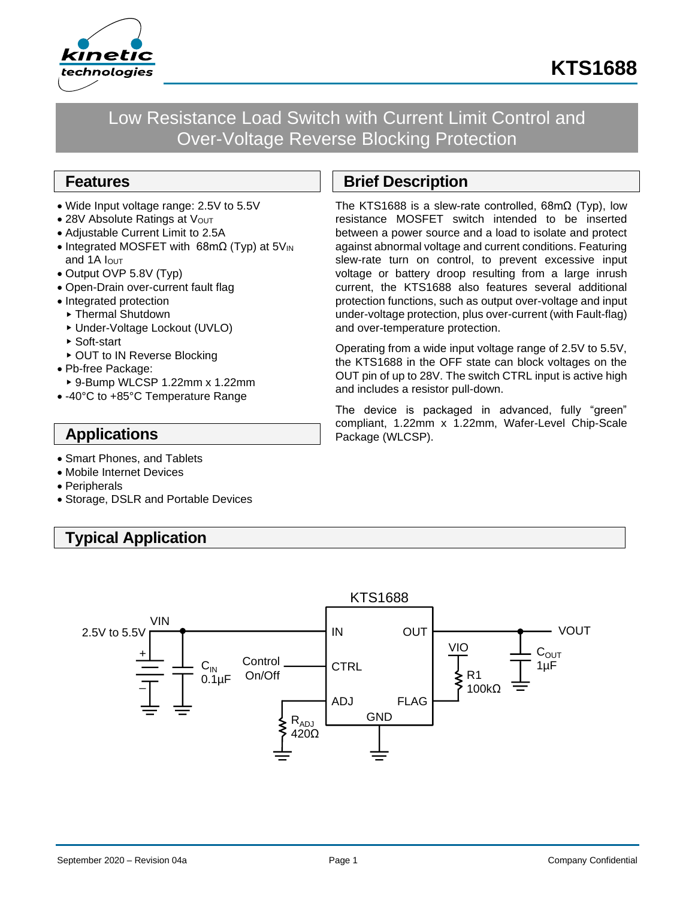

Low Resistance Load Switch with Current Limit Control and Over-Voltage Reverse Blocking Protection

### **Features**

- Wide Input voltage range: 2.5V to 5.5V
- 28V Absolute Ratings at Vout
- Adjustable Current Limit to 2.5A
- Integrated MOSFET with 68mΩ (Typ) at 5V<sub>IN</sub> and 1A  $I$ <sub>OUT</sub>
- Output OVP 5.8V (Typ)
- Open-Drain over-current fault flag
- Integrated protection
- ▶ Thermal Shutdown
- Under-Voltage Lockout (UVLO)
- ▶ Soft-start
- ▶ OUT to IN Reverse Blocking
- Pb-free Package:
- 9-Bump WLCSP 1.22mm x 1.22mm
- -40°C to +85°C Temperature Range

### **Applications**

- Smart Phones, and Tablets
- Mobile Internet Devices
- Peripherals
- Storage, DSLR and Portable Devices

# **Typical Application**

# **Brief Description**

The KTS1688 is a slew-rate controlled, 68mΩ (Typ), low resistance MOSFET switch intended to be inserted between a power source and a load to isolate and protect against abnormal voltage and current conditions. Featuring slew-rate turn on control, to prevent excessive input voltage or battery droop resulting from a large inrush current, the KTS1688 also features several additional protection functions, such as output over-voltage and input under-voltage protection, plus over-current (with Fault-flag) and over-temperature protection.

Operating from a wide input voltage range of 2.5V to 5.5V, the KTS1688 in the OFF state can block voltages on the OUT pin of up to 28V. The switch CTRL input is active high and includes a resistor pull-down.

The device is packaged in advanced, fully "green" compliant, 1.22mm x 1.22mm, Wafer-Level Chip-Scale Package (WLCSP).

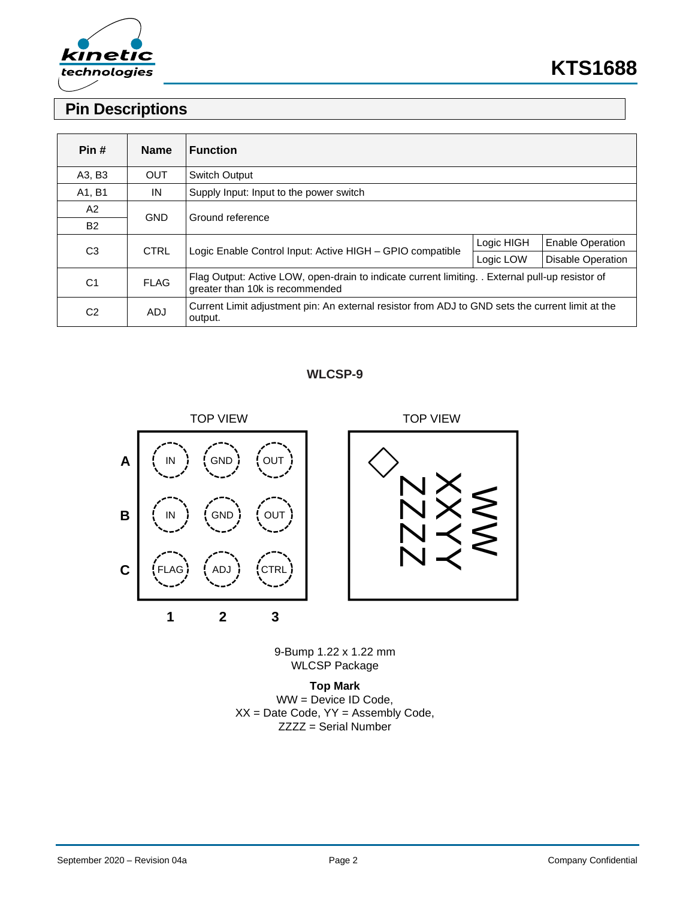

# **KTS1688**

# **Pin Descriptions**

| Pin#           | <b>Name</b> | <b>Function</b>                                                                                                                     |            |                          |  |
|----------------|-------------|-------------------------------------------------------------------------------------------------------------------------------------|------------|--------------------------|--|
| A3, B3         | <b>OUT</b>  | <b>Switch Output</b>                                                                                                                |            |                          |  |
| A1, B1         | IN          | Supply Input: Input to the power switch                                                                                             |            |                          |  |
| A2             | <b>GND</b>  | Ground reference                                                                                                                    |            |                          |  |
| <b>B2</b>      |             |                                                                                                                                     |            |                          |  |
| C <sub>3</sub> | <b>CTRL</b> | Logic Enable Control Input: Active HIGH - GPIO compatible                                                                           | Logic HIGH | <b>Enable Operation</b>  |  |
|                |             |                                                                                                                                     | Logic LOW  | <b>Disable Operation</b> |  |
| C <sub>1</sub> | <b>FLAG</b> | Flag Output: Active LOW, open-drain to indicate current limiting. . External pull-up resistor of<br>greater than 10k is recommended |            |                          |  |
| C <sub>2</sub> | <b>ADJ</b>  | Current Limit adjustment pin: An external resistor from ADJ to GND sets the current limit at the<br>output.                         |            |                          |  |

#### **WLCSP-9**



9-Bump 1.22 x 1.22 mm WLCSP Package

**Top Mark** WW = Device ID Code,  $XX =$  Date Code,  $YY =$  Assembly Code, ZZZZ = Serial Number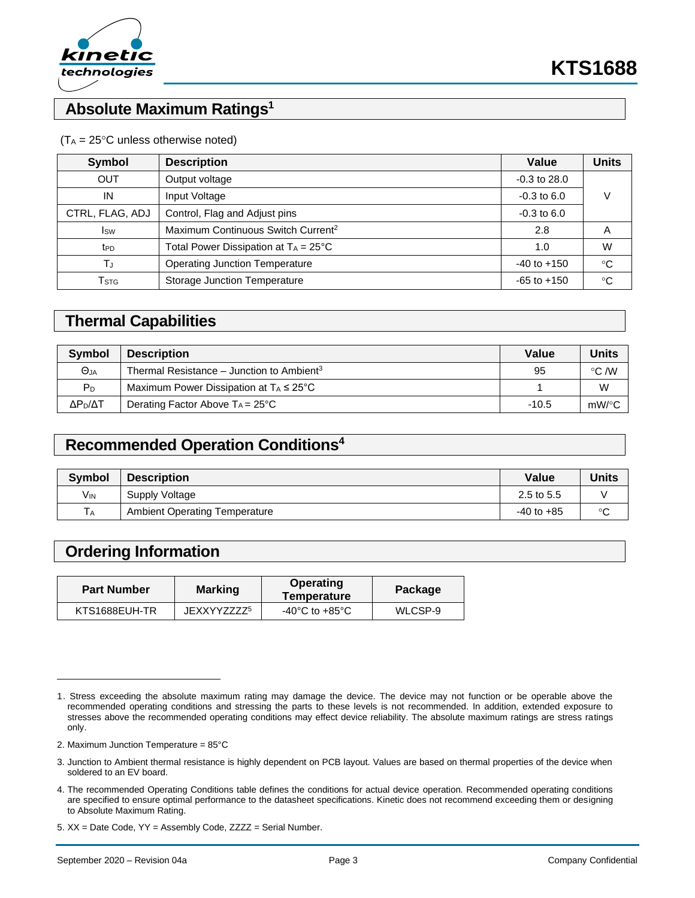

### **Absolute Maximum Ratings<sup>1</sup>**

#### $(T_A = 25^{\circ}C$  unless otherwise noted)

| Symbol                      | <b>Description</b>                             | Value            | <b>Units</b> |  |
|-----------------------------|------------------------------------------------|------------------|--------------|--|
| <b>OUT</b>                  | Output voltage                                 | $-0.3$ to $28.0$ |              |  |
| IN                          | Input Voltage                                  |                  | V            |  |
| CTRL, FLAG, ADJ             | Control, Flag and Adjust pins                  | $-0.3$ to $6.0$  |              |  |
| <b>I</b> sw                 | Maximum Continuous Switch Current <sup>2</sup> | 2.8              | A            |  |
| t <sub>PD</sub>             | Total Power Dissipation at $T_A = 25^{\circ}C$ | 1.0              | W            |  |
| TJ                          | <b>Operating Junction Temperature</b>          | $-40$ to $+150$  | $^{\circ}C$  |  |
| $\mathsf{T}_{\textsf{STG}}$ | <b>Storage Junction Temperature</b>            | $-65$ to $+150$  | °C           |  |

### **Thermal Capabilities**

| <b>Symbol</b>       | <b>Description</b>                                    | Value   | Units          |
|---------------------|-------------------------------------------------------|---------|----------------|
| $\Theta$ JA         | Thermal Resistance – Junction to Ambient <sup>3</sup> | 95      | $\degree$ C /W |
| P <sub>D</sub>      | Maximum Power Dissipation at $T_A \leq 25^{\circ}C$   |         | W              |
| ΔΡ <sub>Ρ</sub> /ΔΤ | Derating Factor Above $Ta = 25^{\circ}C$              | $-10.5$ | $mW$ /°C       |

### **Recommended Operation Conditions<sup>4</sup>**

| <b>Symbol</b>   | <b>Description</b>                   | Value          | <b>Units</b> |
|-----------------|--------------------------------------|----------------|--------------|
| V <sub>IN</sub> | Supply Voltage                       | 2.5 to 5.5     |              |
| <b>TA</b>       | <b>Ambient Operating Temperature</b> | $-40$ to $+85$ | $\sim$       |

### **Ordering Information**

| <b>Part Number</b> | <b>Marking</b>         | Operating<br>Temperature | Package |  |
|--------------------|------------------------|--------------------------|---------|--|
| KTS1688EUH-TR      | JFXXYZZZZ <sup>5</sup> | -40°C to +85°C           | WLCSP-9 |  |

2. Maximum Junction Temperature = 85°C

<sup>1.</sup> Stress exceeding the absolute maximum rating may damage the device. The device may not function or be operable above the recommended operating conditions and stressing the parts to these levels is not recommended. In addition, extended exposure to stresses above the recommended operating conditions may effect device reliability. The absolute maximum ratings are stress ratings only.

<sup>3.</sup> Junction to Ambient thermal resistance is highly dependent on PCB layout. Values are based on thermal properties of the device when soldered to an EV board.

<sup>4.</sup> The recommended Operating Conditions table defines the conditions for actual device operation. Recommended operating conditions are specified to ensure optimal performance to the datasheet specifications. Kinetic does not recommend exceeding them or designing to Absolute Maximum Rating.

<sup>5.</sup> XX = Date Code, YY = Assembly Code, ZZZZ = Serial Number.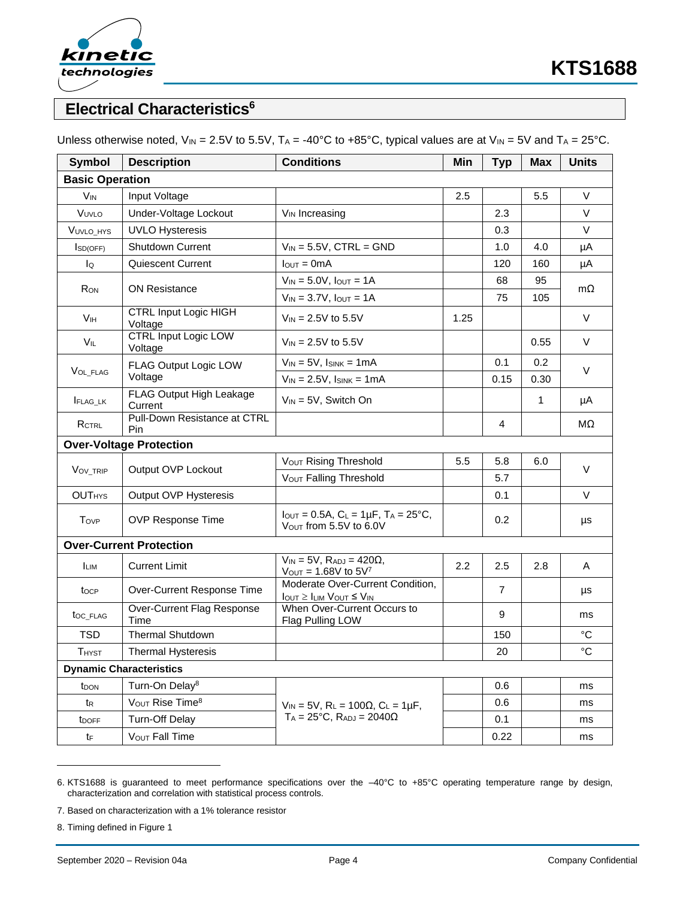

# **Electrical Characteristics<sup>6</sup>**

| Symbol                         | <b>Description</b>                      | <b>Conditions</b>                                                                          | Min  | <b>Typ</b>     | <b>Max</b>   | <b>Units</b>    |
|--------------------------------|-----------------------------------------|--------------------------------------------------------------------------------------------|------|----------------|--------------|-----------------|
| <b>Basic Operation</b>         |                                         |                                                                                            |      |                |              |                 |
| V <sub>IN</sub>                | Input Voltage                           |                                                                                            | 2.5  |                | 5.5          | $\vee$          |
| VUVLO                          | Under-Voltage Lockout                   | V <sub>IN</sub> Increasing                                                                 |      | 2.3            |              | $\vee$          |
| VUVLO_HYS                      | <b>UVLO Hysteresis</b>                  |                                                                                            |      | 0.3            |              | $\vee$          |
| ISD(OFF)                       | <b>Shutdown Current</b>                 | $V_{IN}$ = 5.5V, CTRL = GND                                                                |      | 1.0            | 4.0          | μA              |
| lo                             | Quiescent Current                       | $I_{\text{OUT}} = 0 \text{mA}$                                                             |      | 120            | 160          | μA              |
| R <sub>ON</sub>                | <b>ON Resistance</b>                    | $V_{IN} = 5.0V$ , $I_{OUT} = 1A$                                                           |      | 68             | 95           | $m\Omega$       |
|                                |                                         | $V_{IN} = 3.7V$ , $I_{OUT} = 1A$                                                           |      | 75             | 105          |                 |
| <b>V<sub>IH</sub></b>          | <b>CTRL Input Logic HIGH</b><br>Voltage | $V_{IN} = 2.5V$ to 5.5V                                                                    | 1.25 |                |              | $\vee$          |
| $V_{IL}$                       | <b>CTRL Input Logic LOW</b><br>Voltage  | $V_{\text{IN}}$ = 2.5V to 5.5V                                                             |      |                | 0.55         | $\vee$          |
| VOL_FLAG                       | FLAG Output Logic LOW<br>Voltage        | $V_{IN}$ = 5V, $I_{SINK}$ = 1mA                                                            |      | 0.1            | 0.2          | $\vee$          |
|                                |                                         | $V_{IN} = 2.5V$ , $I_{SINK} = 1mA$                                                         |      | 0.15           | 0.30         |                 |
| FLAG_LK                        | FLAG Output High Leakage<br>Current     | $V_{IN} = 5V$ , Switch On                                                                  |      |                | $\mathbf{1}$ | μA              |
| RCTRL                          | Pull-Down Resistance at CTRL<br>Pin     |                                                                                            |      | 4              |              | MΩ              |
|                                | <b>Over-Voltage Protection</b>          |                                                                                            |      |                |              |                 |
| VOV_TRIP                       | Output OVP Lockout                      | Vout Rising Threshold                                                                      | 5.5  | 5.8            | 6.0          | V               |
|                                |                                         | V <sub>OUT</sub> Falling Threshold                                                         |      | 5.7            |              |                 |
| <b>OUTHYS</b>                  | Output OVP Hysteresis                   |                                                                                            |      | 0.1            |              | $\vee$          |
| Tovp                           | <b>OVP Response Time</b>                | $I_{\text{OUT}} = 0.5A$ , $C_L = 1\mu F$ , $T_A = 25^{\circ}C$ ,<br>Vout from 5.5V to 6.0V |      | 0.2            |              | μs              |
|                                | <b>Over-Current Protection</b>          |                                                                                            |      |                |              |                 |
| <b>LIM</b>                     | <b>Current Limit</b>                    | $V_{IN}$ = 5V, $R_{ADJ}$ = 420 $\Omega$ ,<br>$V_{\text{OUT}} = 1.68V$ to $5V^7$            | 2.2  | 2.5            | 2.8          | Α               |
| tocp                           | Over-Current Response Time              | Moderate Over-Current Condition,<br>$I_{OUT} \geq I_{LIM}$ $V_{OUT} \leq V_{IN}$           |      | $\overline{7}$ |              | μs              |
| toc_FLAG                       | Over-Current Flag Response<br>Time      | When Over-Current Occurs to<br>Flag Pulling LOW                                            |      | 9              |              | ms              |
| <b>TSD</b>                     | <b>Thermal Shutdown</b>                 |                                                                                            |      | 150            |              | °C              |
| <b>THYST</b>                   | <b>Thermal Hysteresis</b>               |                                                                                            |      | 20             |              | $\rm ^{\circ}C$ |
| <b>Dynamic Characteristics</b> |                                         |                                                                                            |      |                |              |                 |
| <b>T</b> DON                   | Turn-On Delay <sup>8</sup>              |                                                                                            |      | 0.6            |              | ms              |
| t <sub>R</sub>                 | VOUT Rise Time <sup>8</sup>             | $V_{IN} = 5V$ , $R_L = 100\Omega$ , $C_L = 1 \mu F$ ,                                      |      | 0.6            |              | ms              |
| t <sub>DOFF</sub>              | <b>Turn-Off Delay</b>                   | $T_A = 25$ °C, $R_{ADJ} = 2040\Omega$                                                      |      | 0.1            |              | ms              |
| tF                             | V <sub>OUT</sub> Fall Time              |                                                                                            |      | 0.22           |              | ms              |

Unless otherwise noted,  $V_{IN} = 2.5V$  to 5.5V,  $T_A = -40^{\circ}C$  to  $+85^{\circ}C$ , typical values are at  $V_{IN} = 5V$  and  $T_A = 25^{\circ}C$ .

7. Based on characterization with a 1% tolerance resistor

8. Timing defined in Figure 1

<sup>6.</sup> KTS1688 is guaranteed to meet performance specifications over the –40°C to +85°C operating temperature range by design, characterization and correlation with statistical process controls.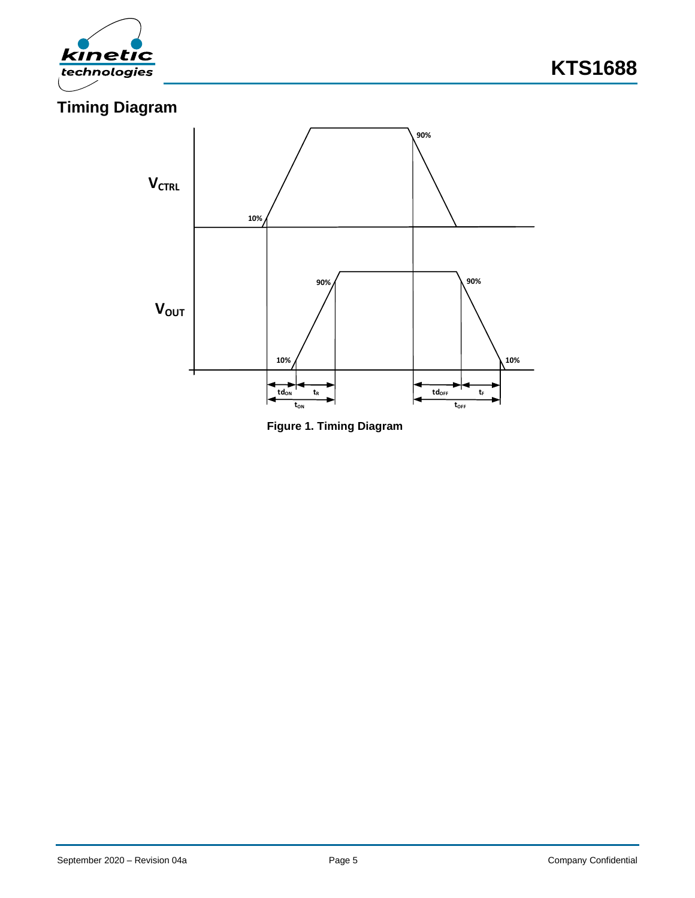



**Figure 1. Timing Diagram**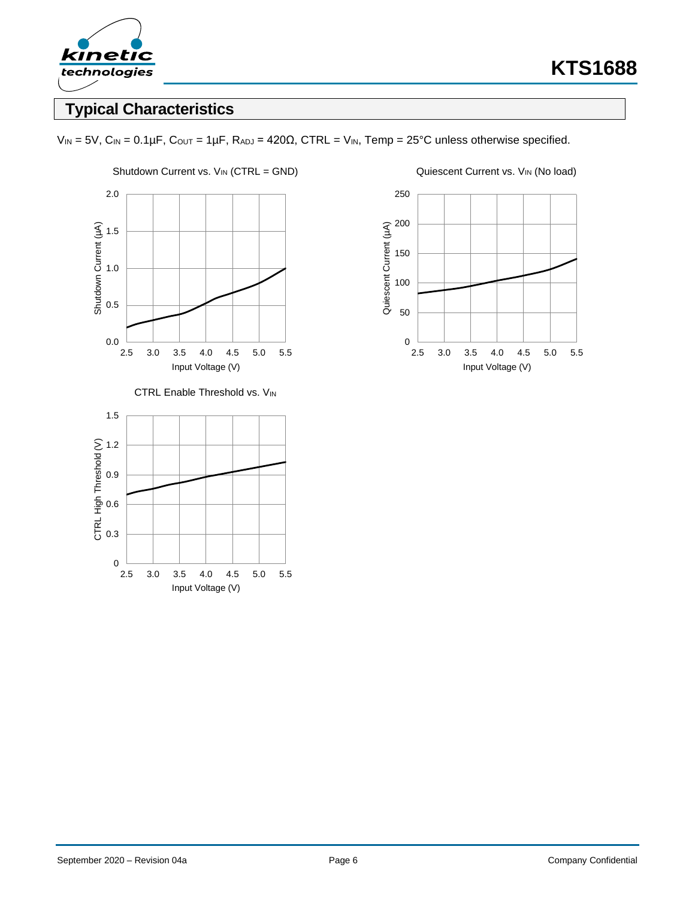

# **Typical Characteristics**





CTRL Enable Threshold vs. VIN



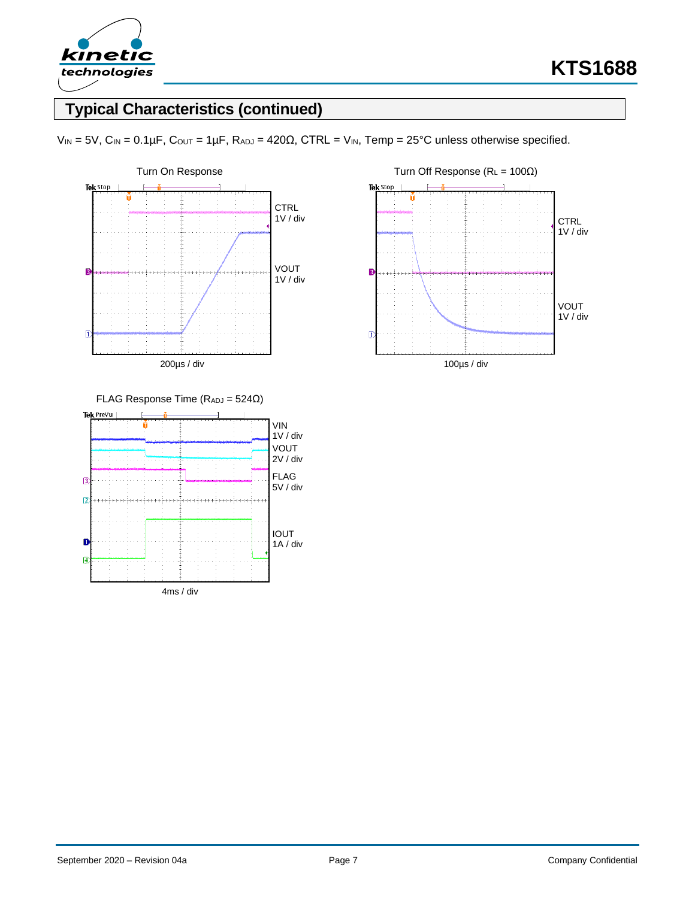

# **Typical Characteristics (continued)**

 $V_{IN} = 5V$ ,  $C_{IN} = 0.1 \mu F$ ,  $C_{OUT} = 1 \mu F$ ,  $R_{ADJ} = 420 \Omega$ ,  $CTRL = V_{IN}$ ,  $Temp = 25°C$  unless otherwise specified.



Tek Stop **CTRL** 1V / div  $\overline{3}$ VOUT 1V / div  $\overline{a}$ 100µs / div



September 2020 – Revision 04a **Page 7** Page 7 **Page 7** Company Confidential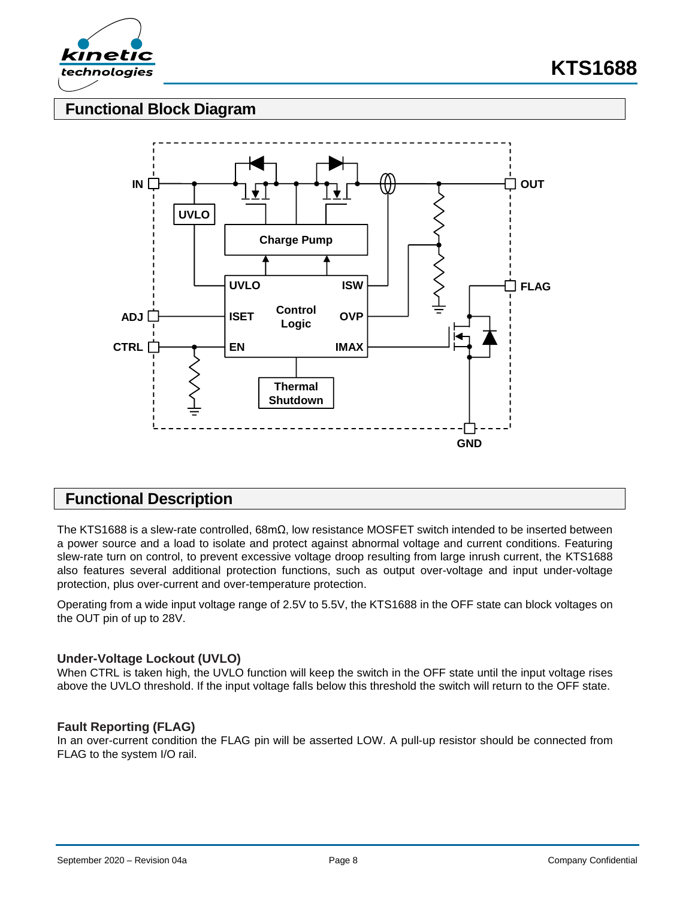

### **Functional Block Diagram**



### **Functional Description**

The KTS1688 is a slew-rate controlled, 68mΩ, low resistance MOSFET switch intended to be inserted between a power source and a load to isolate and protect against abnormal voltage and current conditions. Featuring slew-rate turn on control, to prevent excessive voltage droop resulting from large inrush current, the KTS1688 also features several additional protection functions, such as output over-voltage and input under-voltage protection, plus over-current and over-temperature protection.

Operating from a wide input voltage range of 2.5V to 5.5V, the KTS1688 in the OFF state can block voltages on the OUT pin of up to 28V.

#### **Under-Voltage Lockout (UVLO)**

When CTRL is taken high, the UVLO function will keep the switch in the OFF state until the input voltage rises above the UVLO threshold. If the input voltage falls below this threshold the switch will return to the OFF state.

#### **Fault Reporting (FLAG)**

In an over-current condition the FLAG pin will be asserted LOW. A pull-up resistor should be connected from FLAG to the system I/O rail.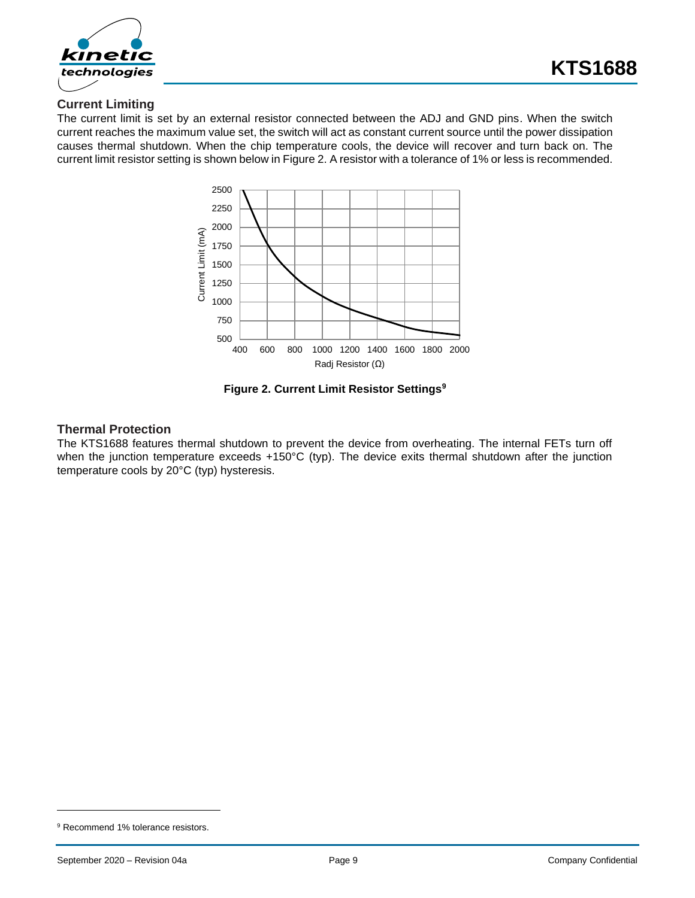

### **Current Limiting**

The current limit is set by an external resistor connected between the ADJ and GND pins. When the switch current reaches the maximum value set, the switch will act as constant current source until the power dissipation causes thermal shutdown. When the chip temperature cools, the device will recover and turn back on. The current limit resistor setting is shown below in [Figure 2.](#page-8-0) A resistor with a tolerance of 1% or less is recommended.



**Figure 2. Current Limit Resistor Settings<sup>9</sup>**

#### <span id="page-8-0"></span>**Thermal Protection**

The KTS1688 features thermal shutdown to prevent the device from overheating. The internal FETs turn off when the junction temperature exceeds +150°C (typ). The device exits thermal shutdown after the junction temperature cools by 20°C (typ) hysteresis.

<sup>&</sup>lt;sup>9</sup> Recommend 1% tolerance resistors.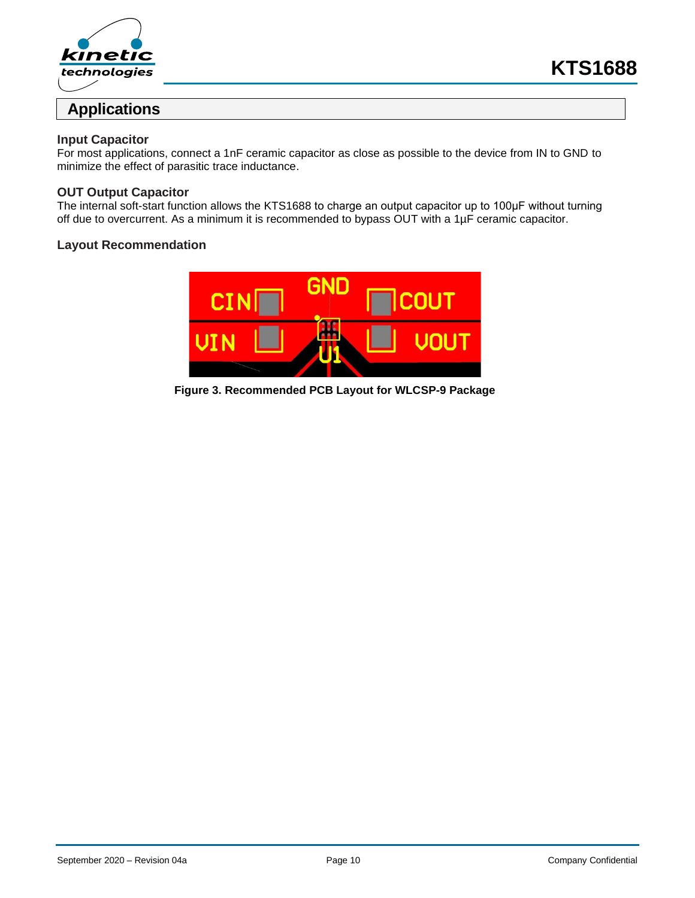

# **Applications**

#### **Input Capacitor**

For most applications, connect a 1nF ceramic capacitor as close as possible to the device from IN to GND to minimize the effect of parasitic trace inductance.

#### **OUT Output Capacitor**

The internal soft-start function allows the KTS1688 to charge an output capacitor up to 100μF without turning off due to overcurrent. As a minimum it is recommended to bypass OUT with a 1µF ceramic capacitor.

#### **Layout Recommendation**



**Figure 3. Recommended PCB Layout for WLCSP-9 Package**

**KTS1688**